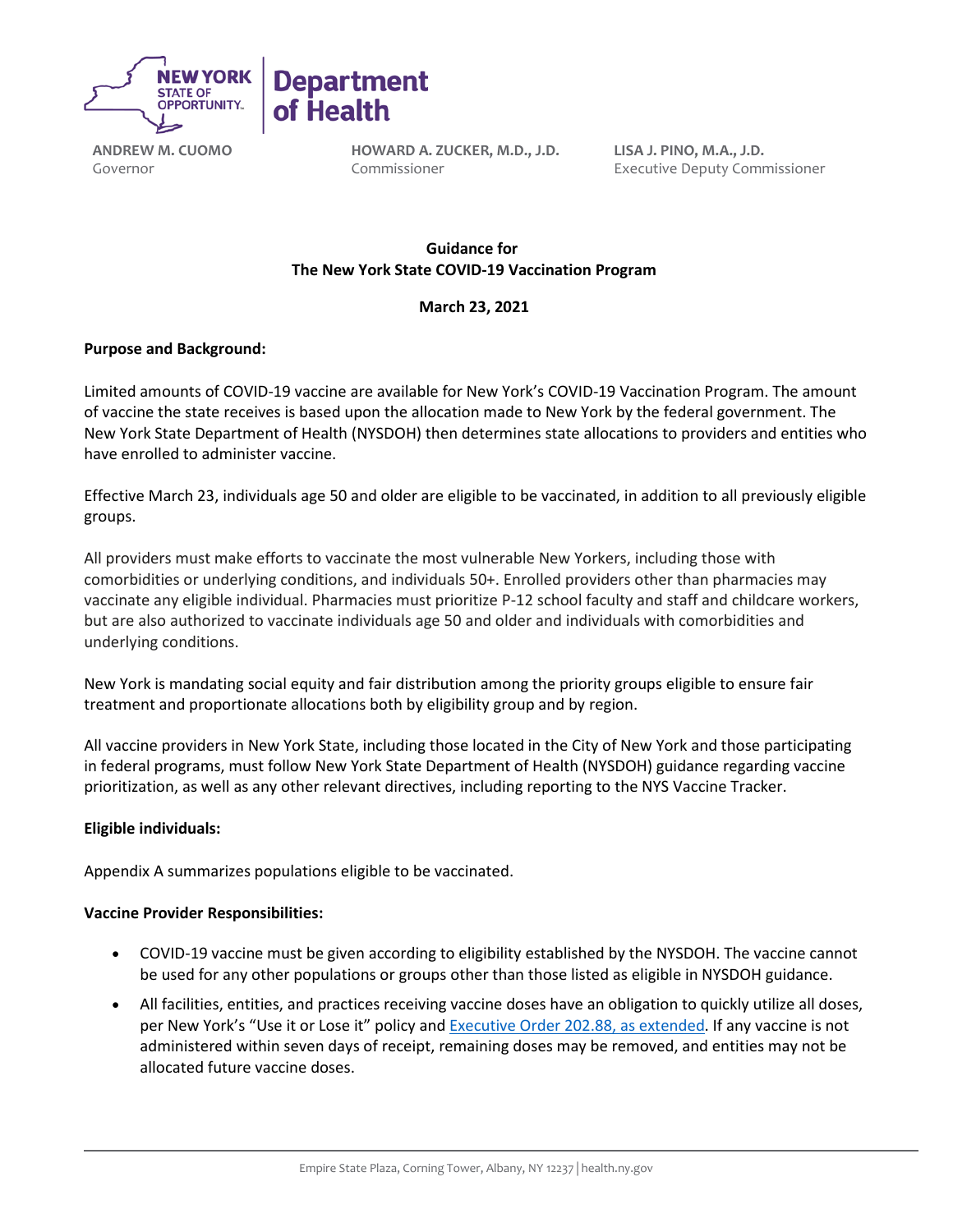

**ANDREW M. CUOMO** Governor

**HOWARD A. ZUCKER, M.D., J.D.** Commissioner

**LISA J. PINO, M.A., J.D.** Executive Deputy Commissioner

# **Guidance for   The New York State COVID-19 Vaccination Program**

## **March 23, 2021**

### **Purpose and Background:**

Limited amounts of COVID-19 vaccine are available for New York's COVID-19 Vaccination Program. The amount of vaccine the state receives is based upon the allocation made to New York by the federal government. The New York State Department of Health (NYSDOH) then determines state allocations to providers and entities who have enrolled to administer vaccine.

Effective March 23, individuals age 50 and older are eligible to be vaccinated, in addition to all previously eligible groups.

All providers must make efforts to vaccinate the most vulnerable New Yorkers, including those with comorbidities or underlying conditions, and individuals 50+. Enrolled providers other than pharmacies may vaccinate any eligible individual. Pharmacies must prioritize P-12 school faculty and staff and childcare workers, but are also authorized to vaccinate individuals age 50 and older and individuals with comorbidities and underlying conditions.

New York is mandating social equity and fair distribution among the priority groups eligible to ensure fair treatment and proportionate allocations both by eligibility group and by region.

All vaccine providers in New York State, including those located in the City of New York and those participating in federal programs, must follow New York State Department of Health (NYSDOH) guidance regarding vaccine prioritization, as well as any other relevant directives, including reporting to the NYS Vaccine Tracker.

#### **Eligible individuals:**

Appendix A summarizes populations eligible to be vaccinated.

#### **Vaccine Provider Responsibilities:**

- COVID-19 vaccine must be given according to eligibility established by the NYSDOH. The vaccine cannot be used for any other populations or groups other than those listed as eligible in NYSDOH guidance.
- All facilities, entities, and practices receiving vaccine doses have an obligation to quickly utilize all doses, per New York's "Use it or Lose it" policy and [Executive Order 202.88,](https://www.governor.ny.gov/news/no-20288-continuing-temporary-suspension-and-modification-laws-relating-disaster-emergency) as extended. If any vaccine is not administered within seven days of receipt, remaining doses may be removed, and entities may not be allocated future vaccine doses.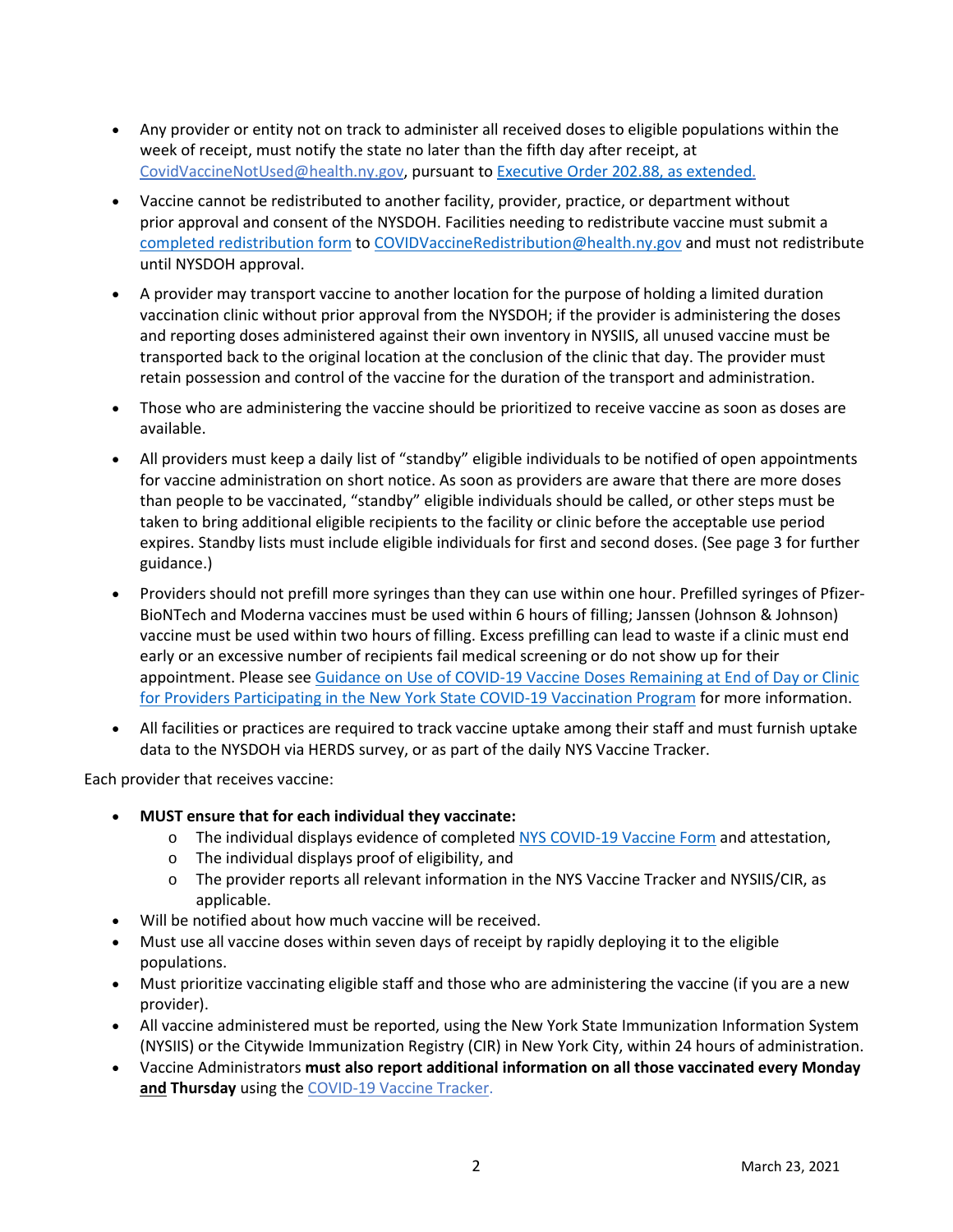- Any provider or entity not on track to administer all received doses to eligible populations within the week of receipt, must notify the state no later than the fifth day after receipt, at [CovidVaccineNotUsed@health.ny.gov,](mailto:CovidVaccineNotUsed@health.ny.gov) pursuant to [Executive Order 202.88,](https://www.governor.ny.gov/news/no-20288-continuing-temporary-suspension-and-modification-laws-relating-disaster-emergency) as extended.
- Vaccine cannot be redistributed to another facility, provider, practice, or department without prior approval and consent of the NYSDOH. Facilities needing to redistribute vaccine must submit a [completed redistribution form](https://coronavirus.health.ny.gov/system/files/documents/2021/03/vaccine-program-redistribution-combined-3.5.21-1958.pdf) t[o COVIDVaccineRedistribution@health.ny.gov](mailto:COVIDVaccineRedistribution@health.ny.gov) and must not redistribute until NYSDOH approval.
- A provider may transport vaccine to another location for the purpose of holding a limited duration vaccination clinic without prior approval from the NYSDOH; if the provider is administering the doses and reporting doses administered against their own inventory in NYSIIS, all unused vaccine must be transported back to the original location at the conclusion of the clinic that day. The provider must retain possession and control of the vaccine for the duration of the transport and administration.
- Those who are administering the vaccine should be prioritized to receive vaccine as soon as doses are available.
- All providers must keep a daily list of "standby" eligible individuals to be notified of open appointments for vaccine administration on short notice. As soon as providers are aware that there are more doses than people to be vaccinated, "standby" eligible individuals should be called, or other steps must be taken to bring additional eligible recipients to the facility or clinic before the acceptable use period expires. Standby lists must include eligible individuals for first and second doses. (See page 3 for further guidance.)
- Providers should not prefill more syringes than they can use within one hour. Prefilled syringes of Pfizer-BioNTech and Moderna vaccines must be used within 6 hours of filling; Janssen (Johnson & Johnson) vaccine must be used within two hours of filling. Excess prefilling can lead to waste if a clinic must end early or an excessive number of recipients fail medical screening or do not show up for their appointment. Please se[e Guidance on Use of COVID-19 Vaccine Doses Remaining at End of Day or Clinic](https://coronavirus.health.ny.gov/system/files/documents/2021/01/guidance_about_to_expire_remaining_doses_of_covid_19_vaccine011321.pdf)  [for Providers Participating in the New York State COVID-19](https://coronavirus.health.ny.gov/system/files/documents/2021/01/guidance_about_to_expire_remaining_doses_of_covid_19_vaccine011321.pdf) Vaccination Program for more information.
- All facilities or practices are required to track vaccine uptake among their staff and must furnish uptake data to the NYSDOH via HERDS survey, or as part of the daily NYS Vaccine Tracker.

Each provider that receives vaccine: 

- **MUST ensure that for each individual they vaccinate:**
	- o The individual displays evidence of completed NYS [COVID-19](https://forms.ny.gov/s3/vaccine) [Vaccine Form](https://forms.ny.gov/s3/vaccine) and attestation,
	- o The individual displays proof of eligibility, and
	- o The provider reports all relevant information in the NYS Vaccine Tracker and NYSIIS/CIR, as applicable.
- Will be notified about how much vaccine will be received.
- Must use all vaccine doses within seven days of receipt by rapidly deploying it to the eligible populations.
- Must prioritize vaccinating eligible staff and those who are administering the vaccine (if you are a new provider).
- All vaccine administered must be reported, using the New York State Immunization Information System (NYSIIS) or the Citywide Immunization Registry (CIR) in New York City, within 24 hours of administration.
- Vaccine Administrators **must also report additional information on all those vaccinated every Monday and Thursday** using the [COVID-19 Vaccine Tracker.](https://forms.ny.gov/s3/COVID-Vaccine-Tracker)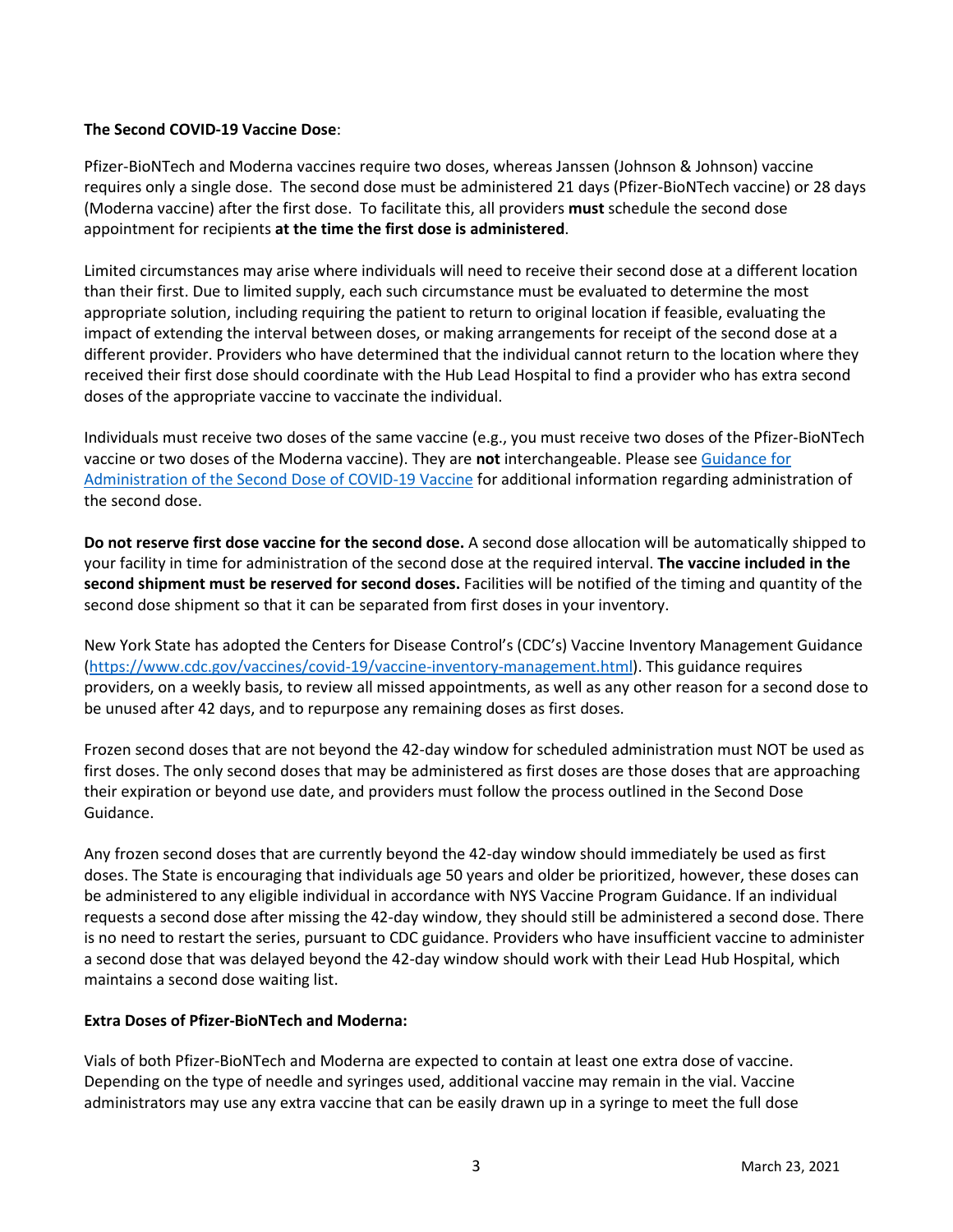#### **The Second COVID-19 Vaccine Dose**:

Pfizer-BioNTech and Moderna vaccines require two doses, whereas Janssen (Johnson & Johnson) vaccine requires only a single dose. The second dose must be administered 21 days (Pfizer-BioNTech vaccine) or 28 days (Moderna vaccine) after the first dose. To facilitate this, all providers **must** schedule the second dose appointment for recipients **at the time the first dose is administered**.

Limited circumstances may arise where individuals will need to receive their second dose at a different location than their first. Due to limited supply, each such circumstance must be evaluated to determine the most appropriate solution, including requiring the patient to return to original location if feasible, evaluating the impact of extending the interval between doses, or making arrangements for receipt of the second dose at a different provider. Providers who have determined that the individual cannot return to the location where they received their first dose should coordinate with the Hub Lead Hospital to find a provider who has extra second doses of the appropriate vaccine to vaccinate the individual.

Individuals must receive two doses of the same vaccine (e.g., you must receive two doses of the Pfizer-BioNTech vaccine or two doses of the Moderna vaccine). They are **not** interchangeable. Please se[e Guidance for](https://coronavirus.health.ny.gov/guidance-administration-second-dose)  [Administration of the Second Dose of COVID-19 Vaccine](https://coronavirus.health.ny.gov/guidance-administration-second-dose) for additional information regarding administration of the second dose.

**Do not reserve first dose vaccine for the second dose.**A second dose allocation will be automatically shipped to your facility in time for administration of the second dose at the required interval. **The vaccine included in the second shipment must be reserved for second doses.**Facilities will be notified of the timing and quantity of the second dose shipment so that it can be separated from first doses in your inventory.

New York State has adopted the Centers for Disease Control's (CDC's) Vaccine Inventory Management Guidance [\(https://www.cdc.gov/vaccines/covid-19/vaccine-inventory-management.html\)](https://www.cdc.gov/vaccines/covid-19/vaccine-inventory-management.html). This guidance requires providers, on a weekly basis, to review all missed appointments, as well as any other reason for a second dose to be unused after 42 days, and to repurpose any remaining doses as first doses.

Frozen second doses that are not beyond the 42-day window for scheduled administration must NOT be used as first doses. The only second doses that may be administered as first doses are those doses that are approaching their expiration or beyond use date, and providers must follow the process outlined in the Second Dose Guidance.

Any frozen second doses that are currently beyond the 42-day window should immediately be used as first doses. The State is encouraging that individuals age 50 years and older be prioritized, however, these doses can be administered to any eligible individual in accordance with NYS Vaccine Program Guidance. If an individual requests a second dose after missing the 42-day window, they should still be administered a second dose. There is no need to restart the series, pursuant to CDC guidance. Providers who have insufficient vaccine to administer a second dose that was delayed beyond the 42-day window should work with their Lead Hub Hospital, which maintains a second dose waiting list.

#### **Extra Doses of Pfizer-BioNTech and Moderna:**

Vials of both Pfizer-BioNTech and Moderna are expected to contain at least one extra dose of vaccine. Depending on the type of needle and syringes used, additional vaccine may remain in the vial. Vaccine administrators may use any extra vaccine that can be easily drawn up in a syringe to meet the full dose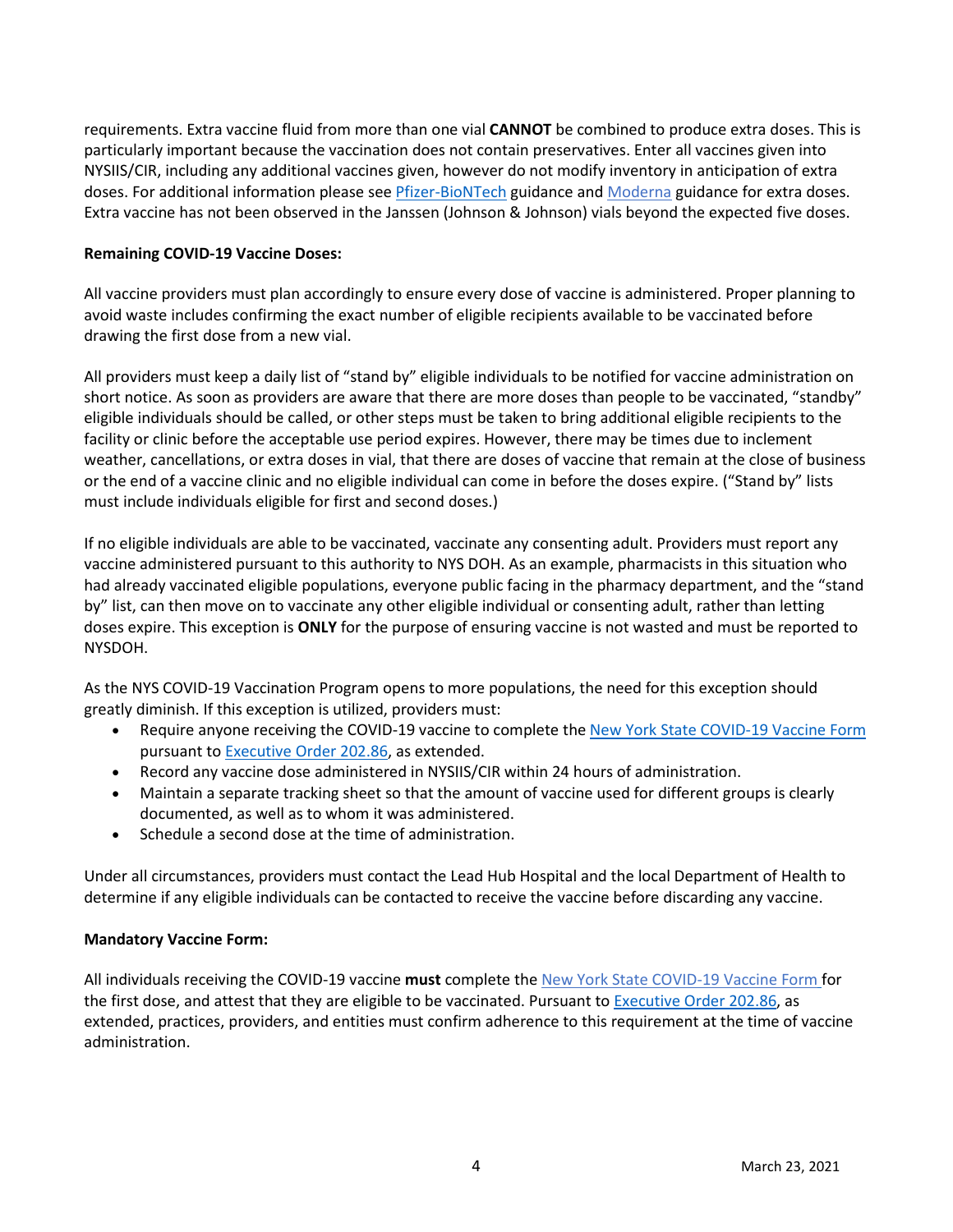requirements. Extra vaccine fluid from more than one vial **CANNOT** be combined to produce extra doses. This is particularly important because the vaccination does not contain preservatives. Enter all vaccines given into NYSIIS/CIR, including any additional vaccines given, however do not modify inventory in anticipation of extra doses. For additional information please see [Pfizer-BioNTech](https://coronavirus.health.ny.gov/system/files/documents/2020/12/pfizer_vaccine_guidance_doses.pdf) guidance and [Moderna](https://coronavirus.health.ny.gov/system/files/documents/2021/01/modernaextradosepackage.pdf) guidance for extra doses. Extra vaccine has not been observed in the Janssen (Johnson & Johnson) vials beyond the expected five doses.

#### **Remaining COVID-19 Vaccine Doses:**

All vaccine providers must plan accordingly to ensure every dose of vaccine is administered. Proper planning to avoid waste includes confirming the exact number of eligible recipients available to be vaccinated before drawing the first dose from a new vial.

All providers must keep a daily list of "stand by" eligible individuals to be notified for vaccine administration on short notice. As soon as providers are aware that there are more doses than people to be vaccinated, "standby" eligible individuals should be called, or other steps must be taken to bring additional eligible recipients to the facility or clinic before the acceptable use period expires. However, there may be times due to inclement weather, cancellations, or extra doses in vial, that there are doses of vaccine that remain at the close of business or the end of a vaccine clinic and no eligible individual can come in before the doses expire. ("Stand by" lists must include individuals eligible for first and second doses.)

If no eligible individuals are able to be vaccinated, vaccinate any consenting adult. Providers must report any vaccine administered pursuant to this authority to NYS DOH. As an example, pharmacists in this situation who had already vaccinated eligible populations, everyone public facing in the pharmacy department, and the "stand by" list, can then move on to vaccinate any other eligible individual or consenting adult, rather than letting doses expire. This exception is **ONLY** for the purpose of ensuring vaccine is not wasted and must be reported to NYSDOH.

As the NYS COVID-19 Vaccination Program opens to more populations, the need for this exception should greatly diminish. If this exception is utilized, providers must:

- Require anyone receiving the COVID-19 vaccine to complete the [New York State COVID-](https://forms.ny.gov/s3/vaccine)[19 Vaccine Form](https://forms.ny.gov/s3/vaccine) pursuant t[o Executive Order 202.86,](https://www.governor.ny.gov/news/no-20286-continuing-temporary-suspension-and-modification-laws-relating-disaster-emergency) as extended.
- Record any vaccine dose administered in NYSIIS/CIR within 24 hours of administration.
- Maintain a separate tracking sheet so that the amount of vaccine used for different groups is clearly documented, as well as to whom it was administered.
- Schedule a second dose at the time of administration.

Under all circumstances, providers must contact the Lead Hub Hospital and the local Department of Health to determine if any eligible individuals can be contacted to receive the vaccine before discarding any vaccine.

#### **Mandatory Vaccine Form:**

All individuals receiving the COVID-19 vaccine **must** complete the [New York State COVID-](https://forms.ny.gov/s3/vaccine)19 Vaccine Form for the first dose, and attest that they are eligible to be vaccinated. Pursuant t[o Executive Order 202.86,](https://www.governor.ny.gov/news/no-20286-continuing-temporary-suspension-and-modification-laws-relating-disaster-emergency) as extended, practices, providers, and entities must confirm adherence to this requirement at the time of vaccine administration.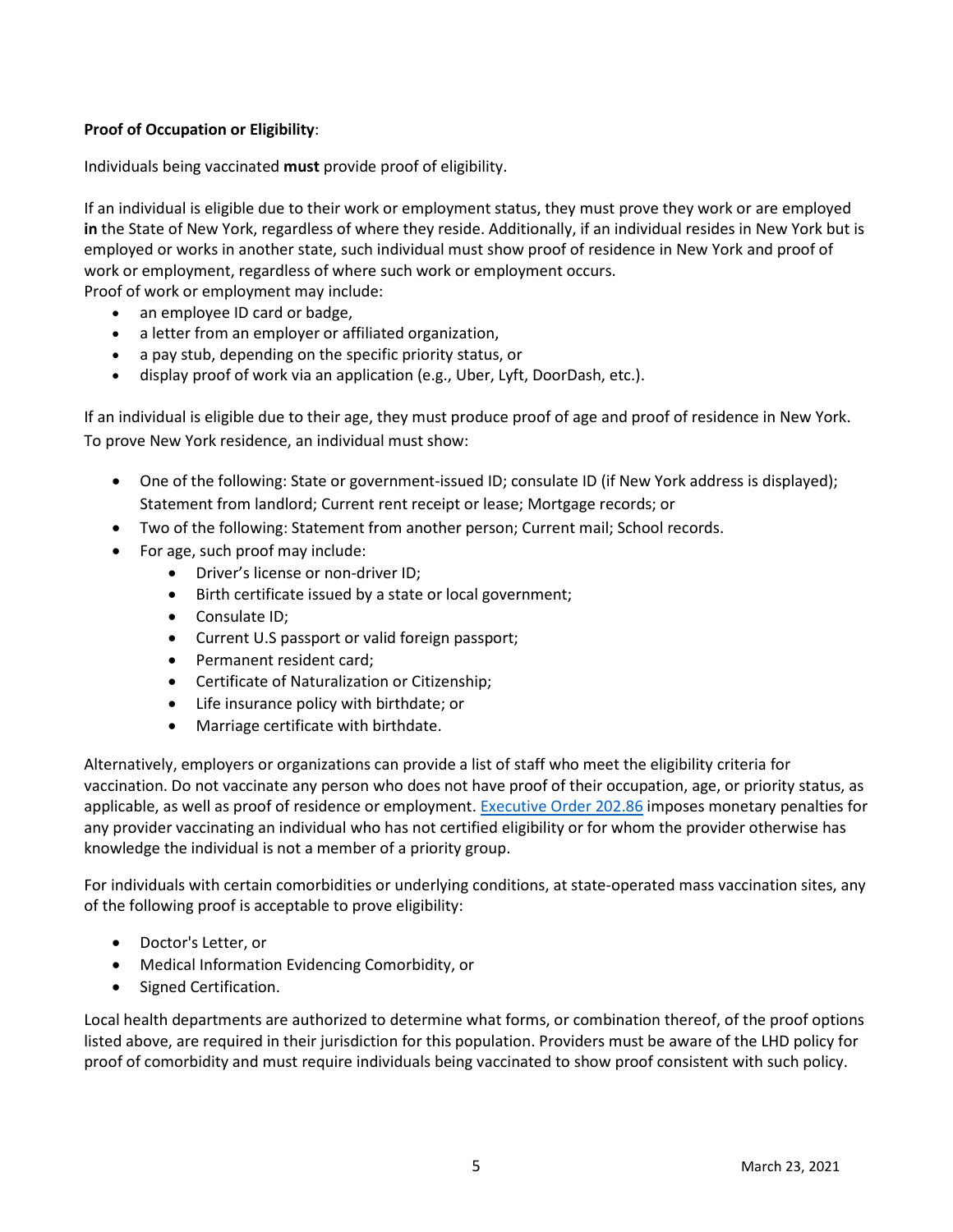# **Proof of Occupation or Eligibility**:

Individuals being vaccinated **must** provide proof of eligibility.

If an individual is eligible due to their work or employment status, they must prove they work or are employed **in** the State of New York, regardless of where they reside. Additionally, if an individual resides in New York but is employed or works in another state, such individual must show proof of residence in New York and proof of work or employment, regardless of where such work or employment occurs.

Proof of work or employment may include:

- an employee ID card or badge,
- a letter from an employer or affiliated organization,
- a pay stub, depending on the specific priority status, or
- display proof of work via an application (e.g., Uber, Lyft, DoorDash, etc.).

If an individual is eligible due to their age, they must produce proof of age and proof of residence in New York. To prove New York residence, an individual must show:

- One of the following: State or government-issued ID; consulate ID (if New York address is displayed); Statement from landlord; Current rent receipt or lease; Mortgage records; or
- Two of the following: Statement from another person; Current mail; School records.
- For age, such proof may include:
	- Driver's license or non-driver ID;
	- Birth certificate issued by a state or local government;
	- Consulate ID;
	- Current U.S passport or valid foreign passport;
	- Permanent resident card;
	- Certificate of Naturalization or Citizenship;
	- Life insurance policy with birthdate; or
	- Marriage certificate with birthdate.

Alternatively, employers or organizations can provide a list of staff who meet the eligibility criteria for vaccination. Do not vaccinate any person who does not have proof of their occupation, age, or priority status, as applicable, as well as proof of residence or employment[. Executive Order 202.86](https://www.governor.ny.gov/news/no-20286-continuing-temporary-suspension-and-modification-laws-relating-disaster-emergency) imposes monetary penalties for any provider vaccinating an individual who has not certified eligibility or for whom the provider otherwise has knowledge the individual is not a member of a priority group.

For individuals with certain comorbidities or underlying conditions, at state-operated mass vaccination sites, any of the following proof is acceptable to prove eligibility:

- Doctor's Letter, or
- Medical Information Evidencing Comorbidity, or
- Signed Certification.

Local health departments are authorized to determine what forms, or combination thereof, of the proof options listed above, are required in their jurisdiction for this population. Providers must be aware of the LHD policy for proof of comorbidity and must require individuals being vaccinated to show proof consistent with such policy.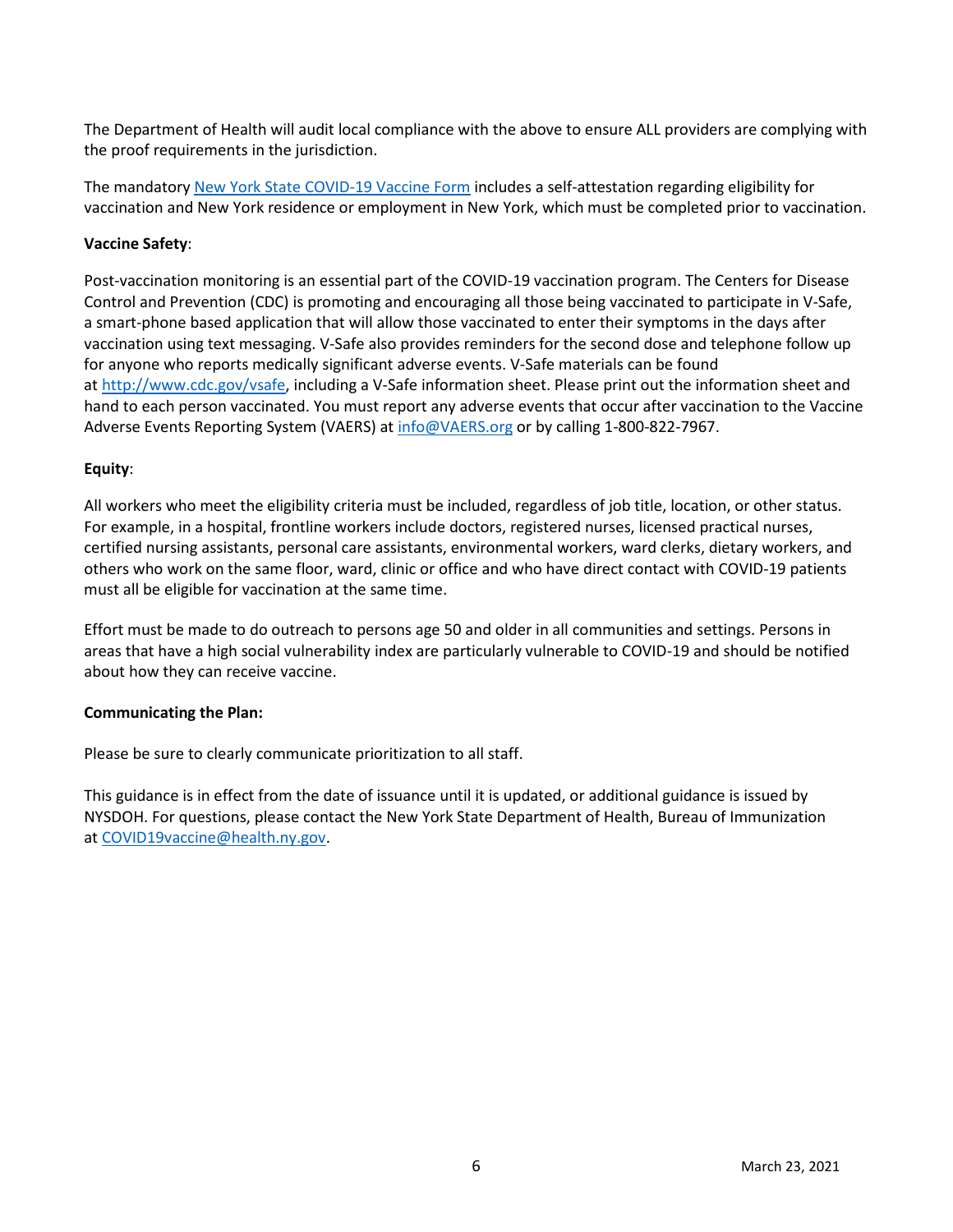The Department of Health will audit local compliance with the above to ensure ALL providers are complying with the proof requirements in the jurisdiction.

The mandatory [New York State COVID-](https://forms.ny.gov/s3/vaccine)[19 Vaccine Form](https://forms.ny.gov/s3/vaccine) includes a self-attestation regarding eligibility for vaccination and New York residence or employment in New York, which must be completed prior to vaccination.

#### **Vaccine Safety**:

Post-vaccination monitoring is an essential part of the COVID-19 vaccination program. The Centers for Disease Control and Prevention (CDC) is promoting and encouraging all those being vaccinated to participate in V-Safe, a smart-phone based application that will allow those vaccinated to enter their symptoms in the days after vaccination using text messaging. V-Safe also provides reminders for the second dose and telephone follow up for anyone who reports medically significant adverse events. V-Safe materials can be found at [http://www.cdc.gov/vsafe,](http://www.cdc.gov/vsafe) including a V-Safe information sheet. Please print out the information sheet and hand to each person vaccinated. You must report any adverse events that occur after vaccination to the Vaccine Adverse Events Reporting System (VAERS) a[t info@VAERS.org](mailto:info@VAERS.org) or by calling 1-800-822-7967.

#### **Equity**:

All workers who meet the eligibility criteria must be included, regardless of job title, location, or other status. For example, in a hospital, frontline workers include doctors, registered nurses, licensed practical nurses, certified nursing assistants, personal care assistants, environmental workers, ward clerks, dietary workers, and others who work on the same floor, ward, clinic or office and who have direct contact with COVID-19 patients must all be eligible for vaccination at the same time.

Effort must be made to do outreach to persons age 50 and older in all communities and settings. Persons in areas that have a high social vulnerability index are particularly vulnerable to COVID-19 and should be notified about how they can receive vaccine.

#### **Communicating the Plan:**

Please be sure to clearly communicate prioritization to all staff.  

This guidance is in effect from the date of issuance until it is updated, or additional guidance is issued by NYSDOH. For questions, please contact the New York State Department of Health, Bureau of Immunization at [COVID19vaccine@health.ny.gov.](mailto:COVID19vaccine@health.ny.gov)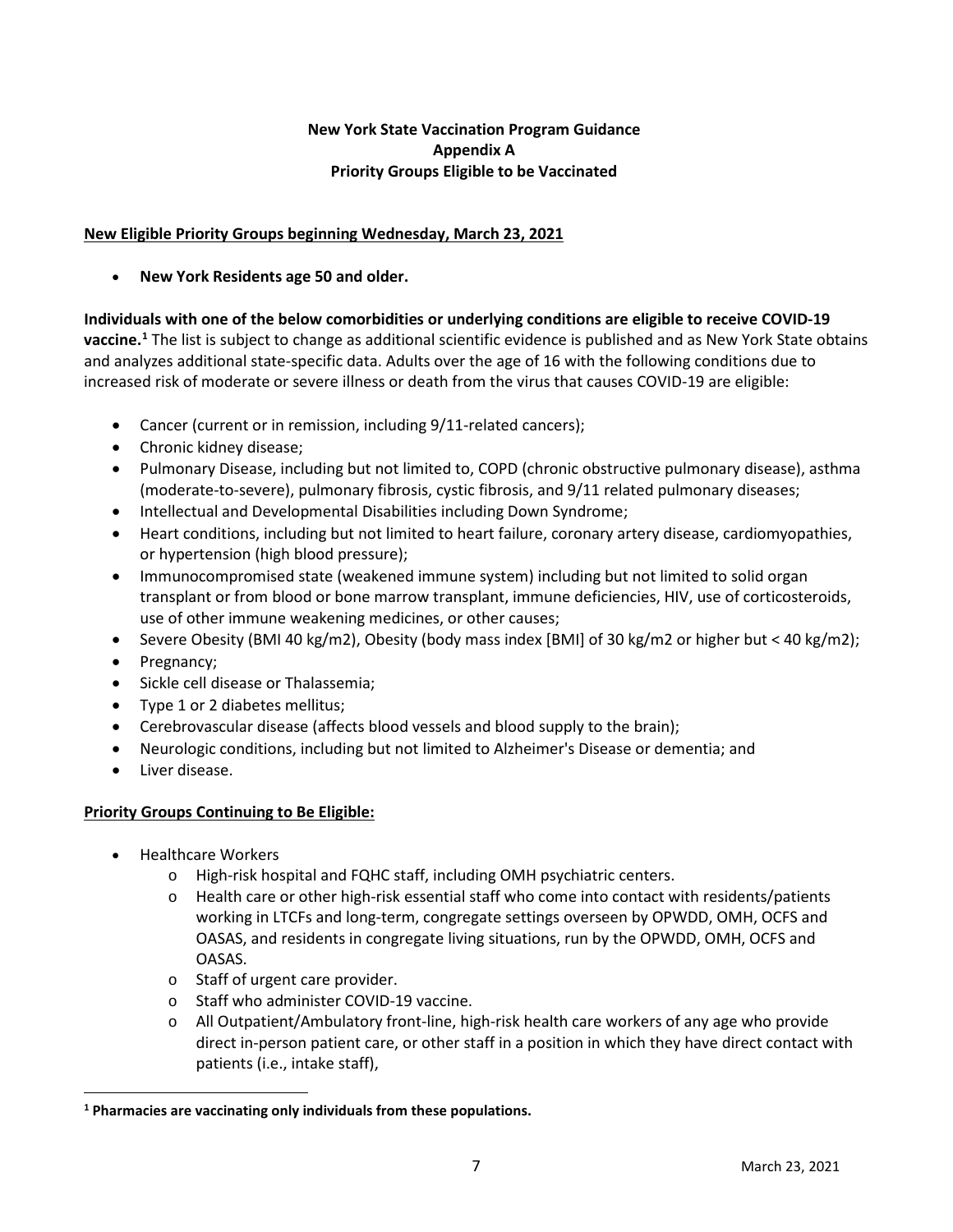## **New York State Vaccination Program Guidance Appendix A Priority Groups Eligible to be Vaccinated**

## **New Eligible Priority Groups beginning Wednesday, March 23, 2021**

• **New York Residents age 50 and older.**

**Individuals with one of the below comorbidities or underlying conditions are eligible to receive COVID-19 vaccine.[1](#page-6-0)** The list is subject to change as additional scientific evidence is published and as New York State obtains and analyzes additional state-specific data. Adults over the age of 16 with the following conditions due to increased risk of moderate or severe illness or death from the virus that causes COVID-19 are eligible:

- Cancer (current or in remission, including 9/11-related cancers);
- Chronic kidney disease;
- Pulmonary Disease, including but not limited to, COPD (chronic obstructive pulmonary disease), asthma (moderate-to-severe), pulmonary fibrosis, cystic fibrosis, and 9/11 related pulmonary diseases;
- Intellectual and Developmental Disabilities including Down Syndrome;
- Heart conditions, including but not limited to heart failure, coronary artery disease, cardiomyopathies, or hypertension (high blood pressure);
- Immunocompromised state (weakened immune system) including but not limited to solid organ transplant or from blood or bone marrow transplant, immune deficiencies, HIV, use of corticosteroids, use of other immune weakening medicines, or other causes;
- Severe Obesity (BMI 40 kg/m2), Obesity (body mass index [BMI] of 30 kg/m2 or higher but < 40 kg/m2);
- Pregnancy;
- Sickle cell disease or Thalassemia;
- Type 1 or 2 diabetes mellitus;
- Cerebrovascular disease (affects blood vessels and blood supply to the brain);
- Neurologic conditions, including but not limited to Alzheimer's Disease or dementia; and
- Liver disease.

# **Priority Groups Continuing to Be Eligible:**

- Healthcare Workers
	- o High-risk hospital and FQHC staff, including OMH psychiatric centers.
	- o Health care or other high-risk essential staff who come into contact with residents/patients working in LTCFs and long-term, congregate settings overseen by OPWDD, OMH, OCFS and OASAS, and residents in congregate living situations, run by the OPWDD, OMH, OCFS and OASAS.
	- o Staff of urgent care provider.
	- o Staff who administer COVID-19 vaccine.
	- $\circ$  All Outpatient/Ambulatory front-line, high-risk health care workers of any age who provide direct in-person patient care, or other staff in a position in which they have direct contact with patients (i.e., intake staff),

<span id="page-6-0"></span>**<sup>1</sup> Pharmacies are vaccinating only individuals from these populations.**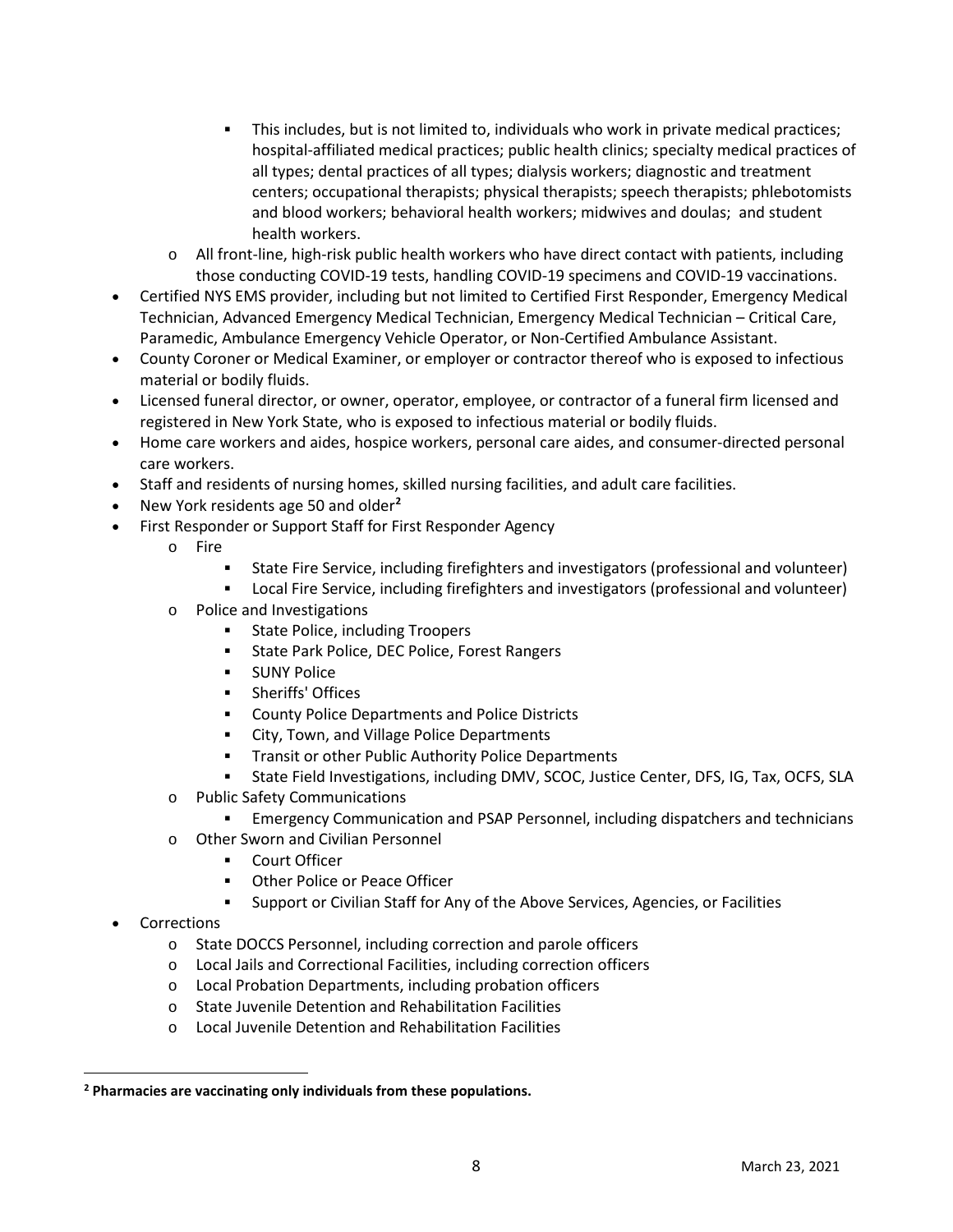- This includes, but is not limited to, individuals who work in private medical practices; hospital-affiliated medical practices; public health clinics; specialty medical practices of all types; dental practices of all types; dialysis workers; diagnostic and treatment centers; occupational therapists; physical therapists; speech therapists; phlebotomists and blood workers; behavioral health workers; midwives and doulas; and student health workers.
- $\circ$  All front-line, high-risk public health workers who have direct contact with patients, including those conducting COVID-19 tests, handling COVID-19 specimens and COVID-19 vaccinations.
- Certified NYS EMS provider, including but not limited to Certified First Responder, Emergency Medical Technician, Advanced Emergency Medical Technician, Emergency Medical Technician – Critical Care, Paramedic, Ambulance Emergency Vehicle Operator, or Non-Certified Ambulance Assistant.
- County Coroner or Medical Examiner, or employer or contractor thereof who is exposed to infectious material or bodily fluids.
- Licensed funeral director, or owner, operator, employee, or contractor of a funeral firm licensed and registered in New York State, who is exposed to infectious material or bodily fluids.
- Home care workers and aides, hospice workers, personal care aides, and consumer-directed personal care workers.
- Staff and residents of nursing homes, skilled nursing facilities, and adult care facilities.
- New York residents age 50 and older**[2](#page-7-0)**
- First Responder or Support Staff for First Responder Agency
	- o Fire
		- State Fire Service, including firefighters and investigators (professional and volunteer)
		- Local Fire Service, including firefighters and investigators (professional and volunteer)
	- o Police and Investigations
		- **State Police, including Troopers**
		- State Park Police, DEC Police, Forest Rangers
		- **SUNY Police**
		- **•** Sheriffs' Offices
		- County Police Departments and Police Districts
		- **EXECT:** City, Town, and Village Police Departments
		- **Transit or other Public Authority Police Departments**
		- State Field Investigations, including DMV, SCOC, Justice Center, DFS, IG, Tax, OCFS, SLA
	- o Public Safety Communications
		- Emergency Communication and PSAP Personnel, including dispatchers and technicians
	- o Other Sworn and Civilian Personnel
		- Court Officer
		- Other Police or Peace Officer
		- Support or Civilian Staff for Any of the Above Services, Agencies, or Facilities
- **Corrections** 
	- o State DOCCS Personnel, including correction and parole officers
	- o Local Jails and Correctional Facilities, including correction officers
	- o Local Probation Departments, including probation officers
	- o State Juvenile Detention and Rehabilitation Facilities
	- o Local Juvenile Detention and Rehabilitation Facilities

<span id="page-7-0"></span>**<sup>2</sup> Pharmacies are vaccinating only individuals from these populations.**